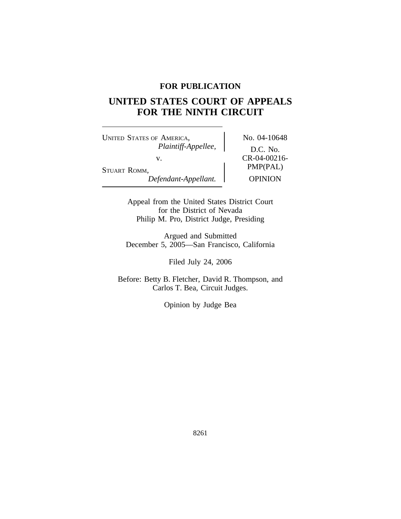# **FOR PUBLICATION**

# **UNITED STATES COURT OF APPEALS FOR THE NINTH CIRCUIT**

UNITED STATES OF AMERICA, No. 04-10648 *Plaintiff-Appellee,* D.C. No. v. CR-04-00216-<br>
PMP(PAL) STUART ROMM,<br>Defendant-Appellant. Dependent OPINION  $Defendant-Appellant.$ 

Appeal from the United States District Court for the District of Nevada Philip M. Pro, District Judge, Presiding

Argued and Submitted December 5, 2005—San Francisco, California

Filed July 24, 2006

Before: Betty B. Fletcher, David R. Thompson, and Carlos T. Bea, Circuit Judges.

Opinion by Judge Bea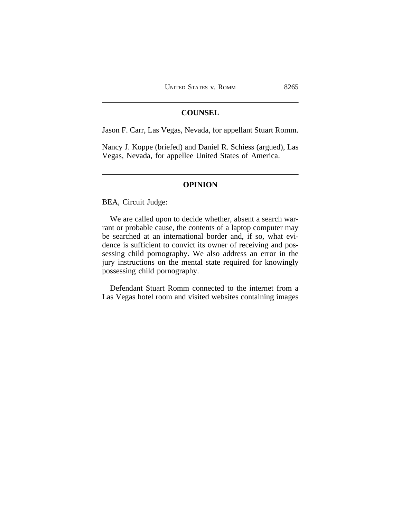# **COUNSEL**

Jason F. Carr, Las Vegas, Nevada, for appellant Stuart Romm.

Nancy J. Koppe (briefed) and Daniel R. Schiess (argued), Las Vegas, Nevada, for appellee United States of America.

# **OPINION**

BEA, Circuit Judge:

We are called upon to decide whether, absent a search warrant or probable cause, the contents of a laptop computer may be searched at an international border and, if so, what evidence is sufficient to convict its owner of receiving and possessing child pornography. We also address an error in the jury instructions on the mental state required for knowingly possessing child pornography.

Defendant Stuart Romm connected to the internet from a Las Vegas hotel room and visited websites containing images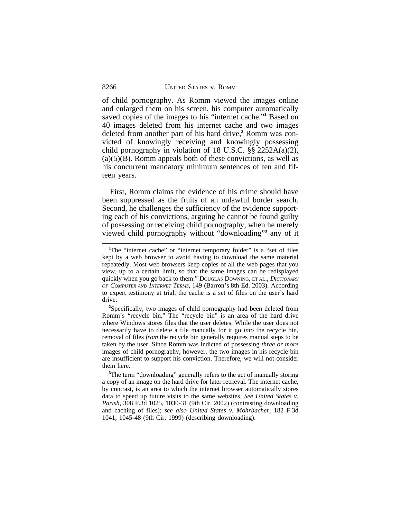of child pornography. As Romm viewed the images online and enlarged them on his screen, his computer automatically saved copies of the images to his "internet cache."<sup>1</sup> Based on 40 images deleted from his internet cache and two images deleted from another part of his hard drive,**<sup>2</sup>** Romm was convicted of knowingly receiving and knowingly possessing child pornography in violation of 18 U.S.C. §§ 2252A(a)(2),  $(a)(5)(B)$ . Romm appeals both of these convictions, as well as his concurrent mandatory minimum sentences of ten and fifteen years.

First, Romm claims the evidence of his crime should have been suppressed as the fruits of an unlawful border search. Second, he challenges the sufficiency of the evidence supporting each of his convictions, arguing he cannot be found guilty of possessing or receiving child pornography, when he merely viewed child pornography without "downloading" **3** any of it

<sup>&</sup>lt;sup>1</sup>The "internet cache" or "internet temporary folder" is a "set of files kept by a web browser to avoid having to download the same material repeatedly. Most web browsers keep copies of all the web pages that you view, up to a certain limit, so that the same images can be redisplayed quickly when you go back to them." DOUGLAS DOWNING, ET AL., *DICTIONARY OF COMPUTER AND INTERNET TERMS*, 149 (Barron's 8th Ed. 2003). According to expert testimony at trial, the cache is a set of files on the user's hard drive.

**<sup>2</sup>**Specifically, two images of child pornography had been deleted from Romm's "recycle bin." The "recycle bin" is an area of the hard drive where Windows stores files that the user deletes. While the user does not necessarily have to delete a file manually for it go *into* the recycle bin, removal of files *from* the recycle bin generally requires manual steps to be taken by the user. Since Romm was indicted of possessing *three or more* images of child pornography, however, the two images in his recycle bin are insufficient to support his conviction. Therefore, we will not consider them here.

<sup>&</sup>lt;sup>3</sup>The term "downloading" generally refers to the act of manually storing a copy of an image on the hard drive for later retrieval. The internet cache, by contrast, is an area to which the internet browser automatically stores data to speed up future visits to the same websites. *See United States v. Parish*, 308 F.3d 1025, 1030-31 (9th Cir. 2002) (contrasting downloading and caching of files); *see also United States v. Mohrbacher*, 182 F.3d 1041, 1045-48 (9th Cir. 1999) (describing downloading).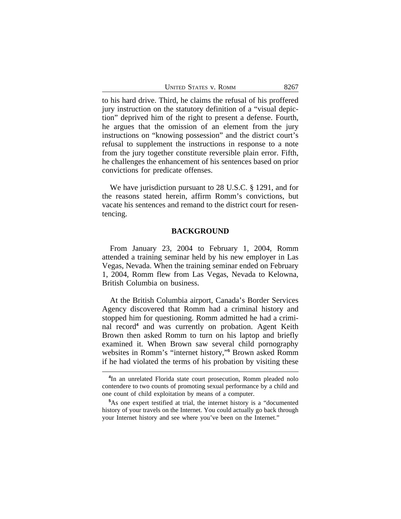UNITED STATES V. ROMM 8267

to his hard drive. Third, he claims the refusal of his proffered jury instruction on the statutory definition of a "visual depiction" deprived him of the right to present a defense. Fourth, he argues that the omission of an element from the jury instructions on "knowing possession" and the district court's refusal to supplement the instructions in response to a note from the jury together constitute reversible plain error. Fifth, he challenges the enhancement of his sentences based on prior convictions for predicate offenses.

We have jurisdiction pursuant to 28 U.S.C. § 1291, and for the reasons stated herein, affirm Romm's convictions, but vacate his sentences and remand to the district court for resentencing.

# **BACKGROUND**

From January 23, 2004 to February 1, 2004, Romm attended a training seminar held by his new employer in Las Vegas, Nevada. When the training seminar ended on February 1, 2004, Romm flew from Las Vegas, Nevada to Kelowna, British Columbia on business.

At the British Columbia airport, Canada's Border Services Agency discovered that Romm had a criminal history and stopped him for questioning. Romm admitted he had a criminal record**<sup>4</sup>** and was currently on probation. Agent Keith Brown then asked Romm to turn on his laptop and briefly examined it. When Brown saw several child pornography websites in Romm's "internet history,"<sup>5</sup> Brown asked Romm if he had violated the terms of his probation by visiting these

**<sup>4</sup>** In an unrelated Florida state court prosecution, Romm pleaded nolo contendere to two counts of promoting sexual performance by a child and one count of child exploitation by means of a computer.

**<sup>5</sup>**As one expert testified at trial, the internet history is a "documented history of your travels on the Internet. You could actually go back through your Internet history and see where you've been on the Internet."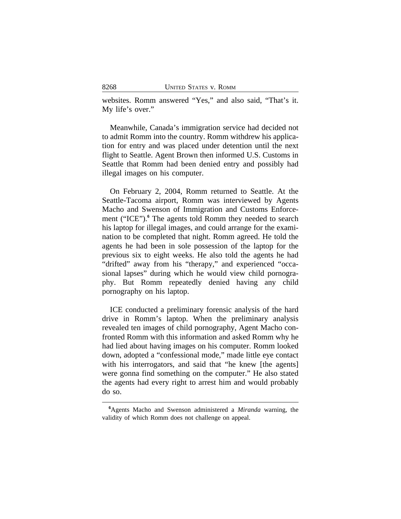websites. Romm answered "Yes," and also said, "That's it. My life's over."

Meanwhile, Canada's immigration service had decided not to admit Romm into the country. Romm withdrew his application for entry and was placed under detention until the next flight to Seattle. Agent Brown then informed U.S. Customs in Seattle that Romm had been denied entry and possibly had illegal images on his computer.

On February 2, 2004, Romm returned to Seattle. At the Seattle-Tacoma airport, Romm was interviewed by Agents Macho and Swenson of Immigration and Customs Enforcement ("ICE").**<sup>6</sup>** The agents told Romm they needed to search his laptop for illegal images, and could arrange for the examination to be completed that night. Romm agreed. He told the agents he had been in sole possession of the laptop for the previous six to eight weeks. He also told the agents he had "drifted" away from his "therapy," and experienced "occasional lapses" during which he would view child pornography. But Romm repeatedly denied having any child pornography on his laptop.

ICE conducted a preliminary forensic analysis of the hard drive in Romm's laptop. When the preliminary analysis revealed ten images of child pornography, Agent Macho confronted Romm with this information and asked Romm why he had lied about having images on his computer. Romm looked down, adopted a "confessional mode," made little eye contact with his interrogators, and said that "he knew [the agents] were gonna find something on the computer." He also stated the agents had every right to arrest him and would probably do so.

**<sup>6</sup>**Agents Macho and Swenson administered a *Miranda* warning, the validity of which Romm does not challenge on appeal.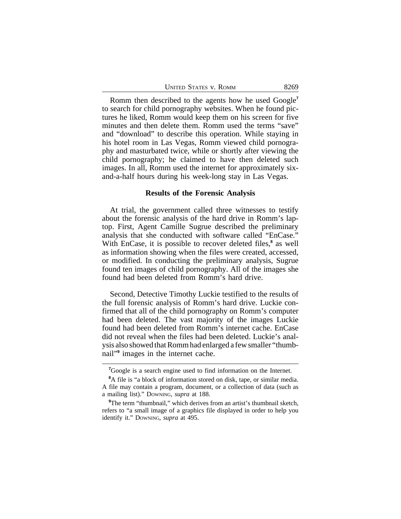| <b>UNITED STATES V. ROMM</b> | 8269 |
|------------------------------|------|
|------------------------------|------|

Romm then described to the agents how he used Google**<sup>7</sup>** to search for child pornography websites. When he found pictures he liked, Romm would keep them on his screen for five minutes and then delete them. Romm used the terms "save" and "download" to describe this operation. While staying in his hotel room in Las Vegas, Romm viewed child pornography and masturbated twice, while or shortly after viewing the child pornography; he claimed to have then deleted such images. In all, Romm used the internet for approximately sixand-a-half hours during his week-long stay in Las Vegas.

#### **Results of the Forensic Analysis**

At trial, the government called three witnesses to testify about the forensic analysis of the hard drive in Romm's laptop. First, Agent Camille Sugrue described the preliminary analysis that she conducted with software called "EnCase." With EnCase, it is possible to recover deleted files,**<sup>8</sup>** as well as information showing when the files were created, accessed, or modified. In conducting the preliminary analysis, Sugrue found ten images of child pornography. All of the images she found had been deleted from Romm's hard drive.

Second, Detective Timothy Luckie testified to the results of the full forensic analysis of Romm's hard drive. Luckie confirmed that all of the child pornography on Romm's computer had been deleted. The vast majority of the images Luckie found had been deleted from Romm's internet cache. EnCase did not reveal when the files had been deleted. Luckie's analysis also showed that Romm had enlarged a few smaller "thumbnail"**<sup>9</sup>** images in the internet cache.

**<sup>7</sup>**Google is a search engine used to find information on the Internet.

**<sup>8</sup>**A file is "a block of information stored on disk, tape, or similar media. A file may contain a program, document, or a collection of data (such as a mailing list)." DOWNING, *supra* at 188.

<sup>&</sup>lt;sup>9</sup>The term "thumbnail," which derives from an artist's thumbnail sketch, refers to "a small image of a graphics file displayed in order to help you identify it." DOWNING, *supra* at 495.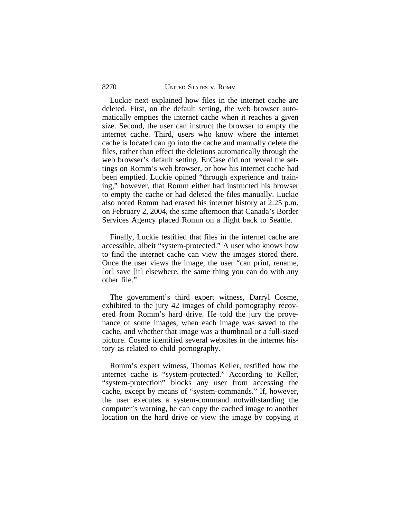#### 8270 UNITED STATES v. ROMM

Luckie next explained how files in the internet cache are deleted. First, on the default setting, the web browser automatically empties the internet cache when it reaches a given size. Second, the user can instruct the browser to empty the internet cache. Third, users who know where the internet cache is located can go into the cache and manually delete the files, rather than effect the deletions automatically through the web browser's default setting. EnCase did not reveal the settings on Romm's web browser, or how his internet cache had been emptied. Luckie opined "through experience and training," however, that Romm either had instructed his browser to empty the cache or had deleted the files manually. Luckie also noted Romm had erased his internet history at 2:25 p.m. on February 2, 2004, the same afternoon that Canada's Border Services Agency placed Romm on a flight back to Seattle.

Finally, Luckie testified that files in the internet cache are accessible, albeit "system-protected." A user who knows how to find the internet cache can view the images stored there. Once the user views the image, the user "can print, rename, [or] save [it] elsewhere, the same thing you can do with any other file."

The government's third expert witness, Darryl Cosme, exhibited to the jury 42 images of child pornography recovered from Romm's hard drive. He told the jury the provenance of some images, when each image was saved to the cache, and whether that image was a thumbnail or a full-sized picture. Cosme identified several websites in the internet history as related to child pornography.

Romm's expert witness, Thomas Keller, testified how the internet cache is "system-protected." According to Keller, "system-protection" blocks any user from accessing the cache, except by means of "system-commands." If, however, the user executes a system-command notwithstanding the computer's warning, he can copy the cached image to another location on the hard drive or view the image by copying it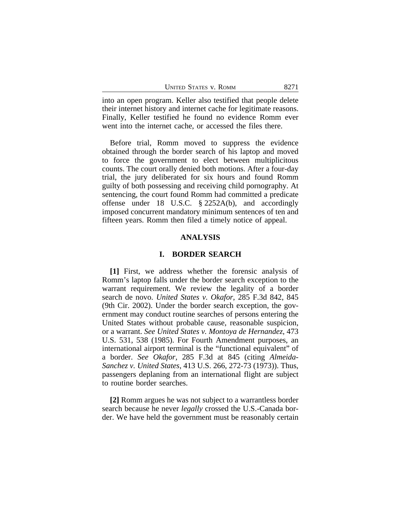| <b>UNITED STATES V. ROMM</b> | 8271 |
|------------------------------|------|
|------------------------------|------|

into an open program. Keller also testified that people delete their internet history and internet cache for legitimate reasons. Finally, Keller testified he found no evidence Romm ever went into the internet cache, or accessed the files there.

Before trial, Romm moved to suppress the evidence obtained through the border search of his laptop and moved to force the government to elect between multiplicitous counts. The court orally denied both motions. After a four-day trial, the jury deliberated for six hours and found Romm guilty of both possessing and receiving child pornography. At sentencing, the court found Romm had committed a predicate offense under 18 U.S.C. § 2252A(b), and accordingly imposed concurrent mandatory minimum sentences of ten and fifteen years. Romm then filed a timely notice of appeal.

# **ANALYSIS**

#### **I. BORDER SEARCH**

**[1]** First, we address whether the forensic analysis of Romm's laptop falls under the border search exception to the warrant requirement. We review the legality of a border search de novo. *United States v. Okafor*, 285 F.3d 842, 845 (9th Cir. 2002). Under the border search exception, the government may conduct routine searches of persons entering the United States without probable cause, reasonable suspicion, or a warrant. *See United States v. Montoya de Hernandez*, 473 U.S. 531, 538 (1985). For Fourth Amendment purposes, an international airport terminal is the "functional equivalent" of a border. *See Okafor,* 285 F.3d at 845 (citing *Almeida-Sanchez v. United States*, 413 U.S. 266, 272-73 (1973)). Thus, passengers deplaning from an international flight are subject to routine border searches.

**[2]** Romm argues he was not subject to a warrantless border search because he never *legally* crossed the U.S.-Canada border. We have held the government must be reasonably certain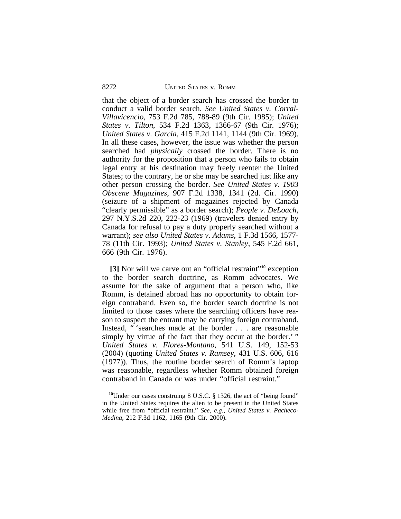that the object of a border search has crossed the border to conduct a valid border search. *See United States v. Corral-Villavicencio*, 753 F.2d 785, 788-89 (9th Cir. 1985); *United States v. Tilton*, 534 F.2d 1363, 1366-67 (9th Cir. 1976); *United States v. Garcia*, 415 F.2d 1141, 1144 (9th Cir. 1969). In all these cases, however, the issue was whether the person searched had *physically* crossed the border. There is no authority for the proposition that a person who fails to obtain legal entry at his destination may freely reenter the United States; to the contrary, he or she may be searched just like any other person crossing the border. *See United States v. 1903 Obscene Magazines*, 907 F.2d 1338, 1341 (2d. Cir. 1990) (seizure of a shipment of magazines rejected by Canada "clearly permissible" as a border search); *People v. DeLoach*, 297 N.Y.S.2d 220, 222-23 (1969) (travelers denied entry by Canada for refusal to pay a duty properly searched without a warrant); *see also United States v*. *Adams*, 1 F.3d 1566, 1577- 78 (11th Cir. 1993); *United States v. Stanley*, 545 F.2d 661, 666 (9th Cir. 1976).

**[3]** Nor will we carve out an "official restraint" **<sup>10</sup>** exception to the border search doctrine, as Romm advocates. We assume for the sake of argument that a person who, like Romm, is detained abroad has no opportunity to obtain foreign contraband. Even so, the border search doctrine is not limited to those cases where the searching officers have reason to suspect the entrant may be carrying foreign contraband. Instead, " 'searches made at the border . . . are reasonable simply by virtue of the fact that they occur at the border.' " *United States v. Flores-Montano*, 541 U.S. 149, 152-53 (2004) (quoting *United States v. Ramsey*, 431 U.S. 606, 616 (1977)). Thus, the routine border search of Romm's laptop was reasonable, regardless whether Romm obtained foreign contraband in Canada or was under "official restraint."

**<sup>10</sup>**Under our cases construing 8 U.S.C. § 1326, the act of "being found" in the United States requires the alien to be present in the United States while free from "official restraint." *See, e.g.*, *United States v. Pacheco-Medina*, 212 F.3d 1162, 1165 (9th Cir. 2000).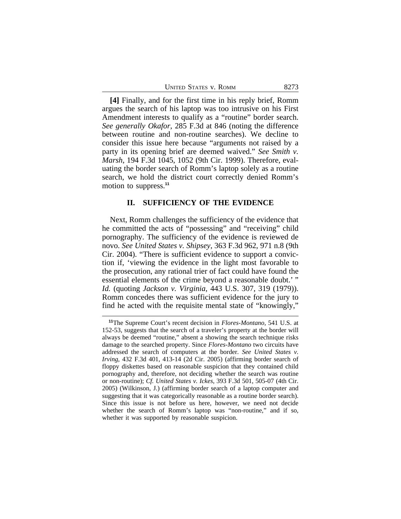| <b>UNITED STATES V. ROMM</b> | 8273 |
|------------------------------|------|
|                              |      |

**[4]** Finally, and for the first time in his reply brief, Romm argues the search of his laptop was too intrusive on his First Amendment interests to qualify as a "routine" border search. *See generally Okafor*, 285 F.3d at 846 (noting the difference between routine and non-routine searches). We decline to consider this issue here because "arguments not raised by a party in its opening brief are deemed waived." *See Smith v. Marsh*, 194 F.3d 1045, 1052 (9th Cir. 1999). Therefore, evaluating the border search of Romm's laptop solely as a routine search, we hold the district court correctly denied Romm's motion to suppress.**<sup>11</sup>**

#### **II. SUFFICIENCY OF THE EVIDENCE**

Next, Romm challenges the sufficiency of the evidence that he committed the acts of "possessing" and "receiving" child pornography. The sufficiency of the evidence is reviewed de novo. *See United States v. Shipsey*, 363 F.3d 962, 971 n.8 (9th Cir. 2004). "There is sufficient evidence to support a conviction if, 'viewing the evidence in the light most favorable to the prosecution, any rational trier of fact could have found the essential elements of the crime beyond a reasonable doubt.' " *Id.* (quoting *Jackson v. Virginia*, 443 U.S. 307, 319 (1979)). Romm concedes there was sufficient evidence for the jury to find he acted with the requisite mental state of "knowingly,"

**<sup>11</sup>**The Supreme Court's recent decision in *Flores-Montano*, 541 U.S. at 152-53, suggests that the search of a traveler's property at the border will always be deemed "routine," absent a showing the search technique risks damage to the searched property. Since *Flores-Montano* two circuits have addressed the search of computers at the border. *See United States v. Irving*, 432 F.3d 401, 413-14 (2d Cir. 2005) (affirming border search of floppy diskettes based on reasonable suspicion that they contained child pornography and, therefore, not deciding whether the search was routine or non-routine); *Cf. United States v. Ickes*, 393 F.3d 501, 505-07 (4th Cir. 2005) (Wilkinson, J.) (affirming border search of a laptop computer and suggesting that it was categorically reasonable as a routine border search). Since this issue is not before us here, however, we need not decide whether the search of Romm's laptop was "non-routine," and if so, whether it was supported by reasonable suspicion.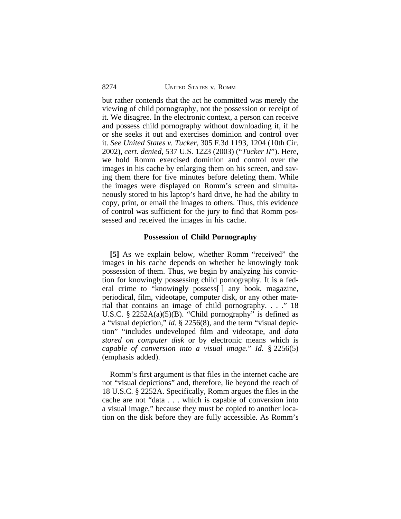but rather contends that the act he committed was merely the viewing of child pornography, not the possession or receipt of it. We disagree. In the electronic context, a person can receive and possess child pornography without downloading it, if he or she seeks it out and exercises dominion and control over it. *See United States v. Tucker*, 305 F.3d 1193, 1204 (10th Cir. 2002), *cert. denied*, 537 U.S. 1223 (2003) ("*Tucker II*"). Here, we hold Romm exercised dominion and control over the images in his cache by enlarging them on his screen, and saving them there for five minutes before deleting them. While the images were displayed on Romm's screen and simultaneously stored to his laptop's hard drive, he had the ability to copy, print, or email the images to others. Thus, this evidence of control was sufficient for the jury to find that Romm possessed and received the images in his cache.

#### **Possession of Child Pornography**

**[5]** As we explain below, whether Romm "received" the images in his cache depends on whether he knowingly took possession of them. Thus, we begin by analyzing his conviction for knowingly possessing child pornography. It is a federal crime to "knowingly possess[ ] any book, magazine, periodical, film, videotape, computer disk, or any other material that contains an image of child pornography. . . ." 18 U.S.C. § 2252A(a)(5)(B). "Child pornography" is defined as a "visual depiction," *id.* § 2256(8), and the term "visual depiction" "includes undeveloped film and videotape, and *data stored on computer disk* or by electronic means which is *capable of conversion into a visual image*." *Id.* § 2256(5) (emphasis added).

Romm's first argument is that files in the internet cache are not "visual depictions" and, therefore, lie beyond the reach of 18 U.S.C. § 2252A. Specifically, Romm argues the files in the cache are not "data . . . which is capable of conversion into a visual image," because they must be copied to another location on the disk before they are fully accessible. As Romm's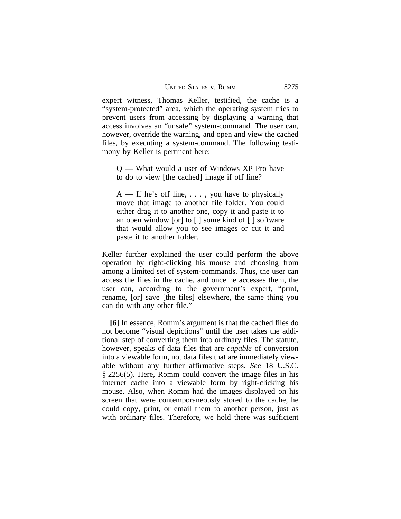| <b>UNITED STATES V. ROMM</b> | 8275 |
|------------------------------|------|
|------------------------------|------|

expert witness, Thomas Keller, testified, the cache is a "system-protected" area, which the operating system tries to prevent users from accessing by displaying a warning that access involves an "unsafe" system-command. The user can, however, override the warning, and open and view the cached files, by executing a system-command. The following testimony by Keller is pertinent here:

Q — What would a user of Windows XP Pro have to do to view [the cached] image if off line?

 $A$  — If he's off line, ..., you have to physically move that image to another file folder. You could either drag it to another one, copy it and paste it to an open window [or] to [ ] some kind of [ ] software that would allow you to see images or cut it and paste it to another folder.

Keller further explained the user could perform the above operation by right-clicking his mouse and choosing from among a limited set of system-commands. Thus, the user can access the files in the cache, and once he accesses them, the user can, according to the government's expert, "print, rename, [or] save [the files] elsewhere, the same thing you can do with any other file."

**[6]** In essence, Romm's argument is that the cached files do not become "visual depictions" until the user takes the additional step of converting them into ordinary files. The statute, however, speaks of data files that are *capable* of conversion into a viewable form, not data files that are immediately viewable without any further affirmative steps. *See* 18 U.S.C. § 2256(5). Here, Romm could convert the image files in his internet cache into a viewable form by right-clicking his mouse. Also, when Romm had the images displayed on his screen that were contemporaneously stored to the cache, he could copy, print, or email them to another person, just as with ordinary files. Therefore, we hold there was sufficient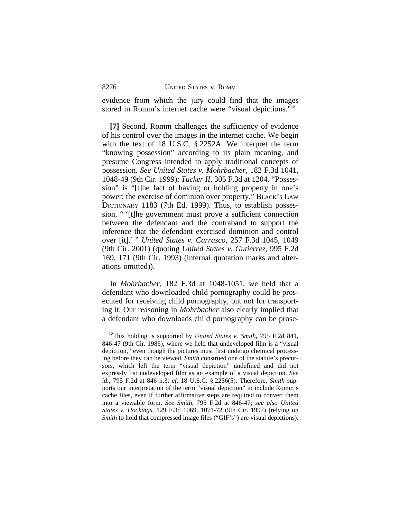evidence from which the jury could find that the images stored in Romm's internet cache were "visual depictions." **12**

**[7]** Second, Romm challenges the sufficiency of evidence of his control over the images in the internet cache. We begin with the text of 18 U.S.C. § 2252A. We interpret the term "knowing possession" according to its plain meaning, and presume Congress intended to apply traditional concepts of possession. *See United States v. Mohrbacher*, 182 F.3d 1041, 1048-49 (9th Cir. 1999); *Tucker II*, 305 F.3d at 1204. "Possession" is "[t]he fact of having or holding property in one's power; the exercise of dominion over property." BLACK'S LAW DICTIONARY 1183 (7th Ed. 1999). Thus, to establish possession, " '[t]he government must prove a sufficient connection between the defendant and the contraband to support the inference that the defendant exercised dominion and control over [it].' " *United States v. Carrasco*, 257 F.3d 1045, 1049 (9th Cir. 2001) (quoting *United States v. Gutierrez*, 995 F.2d 169, 171 (9th Cir. 1993) (internal quotation marks and alterations omitted)).

In *Mohrbacher*, 182 F.3d at 1048-1051, we held that a defendant who downloaded child pornography could be prosecuted for receiving child pornography, but not for transporting it. Our reasoning in *Mohrbacher* also clearly implied that a defendant who downloads child pornography can be prose-

**<sup>12</sup>**This holding is supported by *United States v. Smith*, 795 F.2d 841, 846-47 (9th Cir. 1986), where we held that undeveloped film is a "visual depiction," even though the pictures must first undergo chemical processing before they can be viewed. *Smith* construed one of the statute's precursors, which left the term "visual depiction" undefined and did not expressly list undeveloped film as an example of a visual depiction. *See id.*, 795 F.2d at 846 n.3; *cf*. 18 U.S.C. § 2256(5). Therefore, *Smith* supports our interpretation of the term "visual depiction" to include Romm's cache files, even if further affirmative steps are required to convert them into a viewable form. *See Smith*, 795 F.2d at 846-47; *see also United States v. Hockings*, 129 F.3d 1069, 1071-72 (9th Cir. 1997) (relying on *Smith* to hold that compressed image files ("GIF's") are visual depictions).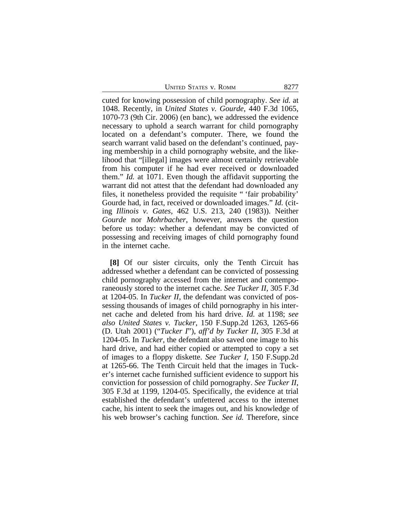UNITED STATES V. ROMM 8277

cuted for knowing possession of child pornography. *See id.* at 1048. Recently, in *United States v. Gourde*, 440 F.3d 1065, 1070-73 (9th Cir. 2006) (en banc), we addressed the evidence necessary to uphold a search warrant for child pornography located on a defendant's computer. There, we found the search warrant valid based on the defendant's continued, paying membership in a child pornography website, and the likelihood that "[illegal] images were almost certainly retrievable from his computer if he had ever received or downloaded them." *Id.* at 1071. Even though the affidavit supporting the warrant did not attest that the defendant had downloaded any files, it nonetheless provided the requisite " 'fair probability' Gourde had, in fact, received or downloaded images." *Id.* (citing *Illinois v. Gates*, 462 U.S. 213, 240 (1983)). Neither *Gourde* nor *Mohrbacher*, however, answers the question before us today: whether a defendant may be convicted of possessing and receiving images of child pornography found in the internet cache.

**[8]** Of our sister circuits, only the Tenth Circuit has addressed whether a defendant can be convicted of possessing child pornography accessed from the internet and contemporaneously stored to the internet cache. *See Tucker II*, 305 F.3d at 1204-05. In *Tucker II*, the defendant was convicted of possessing thousands of images of child pornography in his internet cache and deleted from his hard drive. *Id.* at 1198; *see also United States v. Tucker*, 150 F.Supp.2d 1263, 1265-66 (D. Utah 2001) ("*Tucker I*"), *aff'd by Tucker II*, 305 F.3d at 1204-05. In *Tucker*, the defendant also saved one image to his hard drive, and had either copied or attempted to copy a set of images to a floppy diskette. *See Tucker I*, 150 F.Supp.2d at 1265-66. The Tenth Circuit held that the images in Tucker's internet cache furnished sufficient evidence to support his conviction for possession of child pornography. *See Tucker II*, 305 F.3d at 1199, 1204-05. Specifically, the evidence at trial established the defendant's unfettered access to the internet cache, his intent to seek the images out, and his knowledge of his web browser's caching function. *See id.* Therefore, since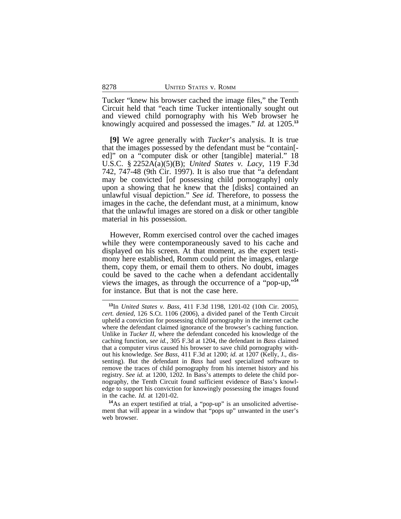Tucker "knew his browser cached the image files," the Tenth Circuit held that "each time Tucker intentionally sought out and viewed child pornography with his Web browser he knowingly acquired and possessed the images." *Id.* at 1205.**<sup>13</sup>**

**[9]** We agree generally with *Tucker*'s analysis. It is true that the images possessed by the defendant must be "contain[ ed]" on a "computer disk or other [tangible] material." 18 U.S.C. § 2252A(a)(5)(B); *United States v. Lacy*, 119 F.3d 742, 747-48 (9th Cir. 1997). It is also true that "a defendant may be convicted [of possessing child pornography] only upon a showing that he knew that the [disks] contained an unlawful visual depiction." *See id.* Therefore, to possess the images in the cache, the defendant must, at a minimum, know that the unlawful images are stored on a disk or other tangible material in his possession.

However, Romm exercised control over the cached images while they were contemporaneously saved to his cache and displayed on his screen. At that moment, as the expert testimony here established, Romm could print the images, enlarge them, copy them, or email them to others. No doubt, images could be saved to the cache when a defendant accidentally views the images, as through the occurrence of a "pop-up," **14** for instance. But that is not the case here.

**<sup>14</sup>**As an expert testified at trial, a "pop-up" is an unsolicited advertisement that will appear in a window that "pops up" unwanted in the user's web browser.

**<sup>13</sup>**In *United States v. Bass*, 411 F.3d 1198, 1201-02 (10th Cir. 2005), *cert. denied*, 126 S.Ct. 1106 (2006), a divided panel of the Tenth Circuit upheld a conviction for possessing child pornography in the internet cache where the defendant claimed ignorance of the browser's caching function. Unlike in *Tucker II*, where the defendant conceded his knowledge of the caching function, *see id.*, 305 F.3d at 1204, the defendant in *Bass* claimed that a computer virus caused his browser to save child pornography without his knowledge. *See Bass*, 411 F.3d at 1200; *id.* at 1207 (Kelly, J., dissenting). But the defendant in *Bass* had used specialized software to remove the traces of child pornography from his internet history and his registry. *See id.* at 1200, 1202. In Bass's attempts to delete the child pornography, the Tenth Circuit found sufficient evidence of Bass's knowledge to support his conviction for knowingly possessing the images found in the cache. *Id.* at 1201-02.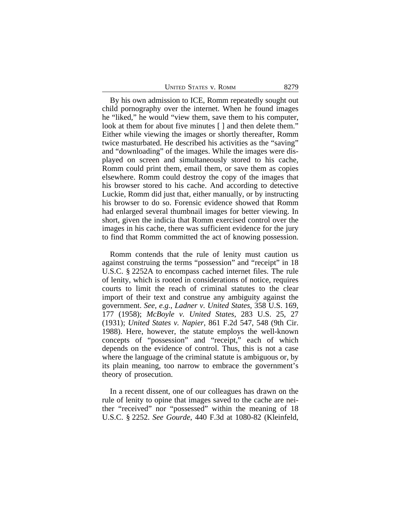| <b>UNITED STATES V. ROMM</b> | 8279 |
|------------------------------|------|
|------------------------------|------|

By his own admission to ICE, Romm repeatedly sought out child pornography over the internet. When he found images he "liked," he would "view them, save them to his computer, look at them for about five minutes [ ] and then delete them." Either while viewing the images or shortly thereafter, Romm twice masturbated. He described his activities as the "saving" and "downloading" of the images. While the images were displayed on screen and simultaneously stored to his cache, Romm could print them, email them, or save them as copies elsewhere. Romm could destroy the copy of the images that his browser stored to his cache. And according to detective Luckie, Romm did just that, either manually, or by instructing his browser to do so. Forensic evidence showed that Romm had enlarged several thumbnail images for better viewing. In short, given the indicia that Romm exercised control over the images in his cache, there was sufficient evidence for the jury to find that Romm committed the act of knowing possession.

Romm contends that the rule of lenity must caution us against construing the terms "possession" and "receipt" in 18 U.S.C. § 2252A to encompass cached internet files. The rule of lenity, which is rooted in considerations of notice, requires courts to limit the reach of criminal statutes to the clear import of their text and construe any ambiguity against the government. *See, e.g.*, *Ladner v. United States*, 358 U.S. 169, 177 (1958); *McBoyle v. United States*, 283 U.S. 25, 27 (1931); *United States v. Napier*, 861 F.2d 547, 548 (9th Cir. 1988). Here, however, the statute employs the well-known concepts of "possession" and "receipt," each of which depends on the evidence of control. Thus, this is not a case where the language of the criminal statute is ambiguous or, by its plain meaning, too narrow to embrace the government's theory of prosecution.

In a recent dissent, one of our colleagues has drawn on the rule of lenity to opine that images saved to the cache are neither "received" nor "possessed" within the meaning of 18 U.S.C. § 2252. *See Gourde*, 440 F.3d at 1080-82 (Kleinfeld,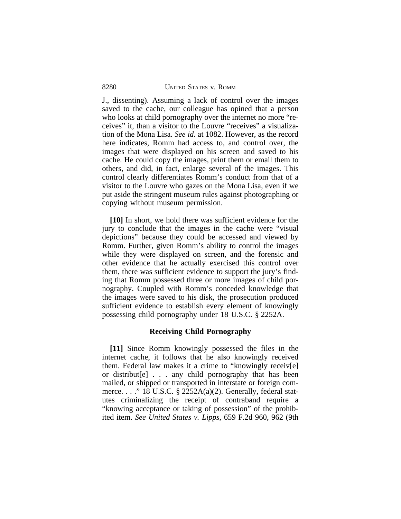J., dissenting). Assuming a lack of control over the images saved to the cache, our colleague has opined that a person who looks at child pornography over the internet no more "receives" it, than a visitor to the Louvre "receives" a visualization of the Mona Lisa. *See id.* at 1082. However, as the record here indicates, Romm had access to, and control over, the images that were displayed on his screen and saved to his cache. He could copy the images, print them or email them to others, and did, in fact, enlarge several of the images. This control clearly differentiates Romm's conduct from that of a visitor to the Louvre who gazes on the Mona Lisa, even if we put aside the stringent museum rules against photographing or copying without museum permission.

**[10]** In short, we hold there was sufficient evidence for the jury to conclude that the images in the cache were "visual depictions" because they could be accessed and viewed by Romm. Further, given Romm's ability to control the images while they were displayed on screen, and the forensic and other evidence that he actually exercised this control over them, there was sufficient evidence to support the jury's finding that Romm possessed three or more images of child pornography. Coupled with Romm's conceded knowledge that the images were saved to his disk, the prosecution produced sufficient evidence to establish every element of knowingly possessing child pornography under 18 U.S.C. § 2252A.

#### **Receiving Child Pornography**

**[11]** Since Romm knowingly possessed the files in the internet cache, it follows that he also knowingly received them. Federal law makes it a crime to "knowingly receiv[e] or distribut[e] . . . any child pornography that has been mailed, or shipped or transported in interstate or foreign commerce. . . ." 18 U.S.C. § 2252A(a)(2). Generally, federal statutes criminalizing the receipt of contraband require a "knowing acceptance or taking of possession" of the prohibited item. *See United States v. Lipps*, 659 F.2d 960, 962 (9th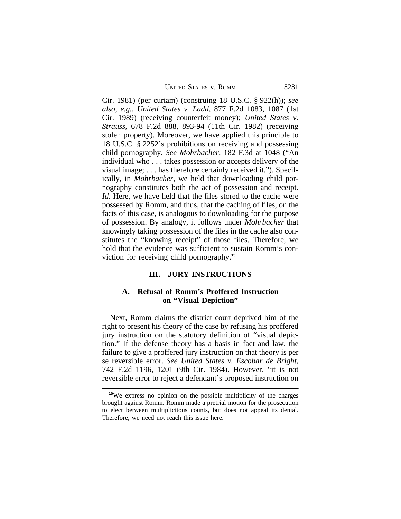UNITED STATES V. ROMM 8281

Cir. 1981) (per curiam) (construing 18 U.S.C. § 922(h)); *see also*, *e.g.*, *United States v. Ladd*, 877 F.2d 1083, 1087 (1st Cir. 1989) (receiving counterfeit money); *United States v. Strauss*, 678 F.2d 888, 893-94 (11th Cir. 1982) (receiving stolen property). Moreover, we have applied this principle to 18 U.S.C. § 2252's prohibitions on receiving and possessing child pornography. *See Mohrbacher*, 182 F.3d at 1048 ("An individual who . . . takes possession or accepts delivery of the visual image; . . . has therefore certainly received it."). Specifically, in *Mohrbacher*, we held that downloading child pornography constitutes both the act of possession and receipt. *Id*. Here, we have held that the files stored to the cache were possessed by Romm, and thus, that the caching of files, on the facts of this case, is analogous to downloading for the purpose of possession. By analogy, it follows under *Mohrbacher* that knowingly taking possession of the files in the cache also constitutes the "knowing receipt" of those files. Therefore, we hold that the evidence was sufficient to sustain Romm's conviction for receiving child pornography.**<sup>15</sup>**

# **III. JURY INSTRUCTIONS**

# **A. Refusal of Romm's Proffered Instruction on "Visual Depiction"**

Next, Romm claims the district court deprived him of the right to present his theory of the case by refusing his proffered jury instruction on the statutory definition of "visual depiction." If the defense theory has a basis in fact and law, the failure to give a proffered jury instruction on that theory is per se reversible error. *See United States v. Escobar de Bright*, 742 F.2d 1196, 1201 (9th Cir. 1984). However, "it is not reversible error to reject a defendant's proposed instruction on

**<sup>15</sup>**We express no opinion on the possible multiplicity of the charges brought against Romm. Romm made a pretrial motion for the prosecution to elect between multiplicitous counts, but does not appeal its denial. Therefore, we need not reach this issue here.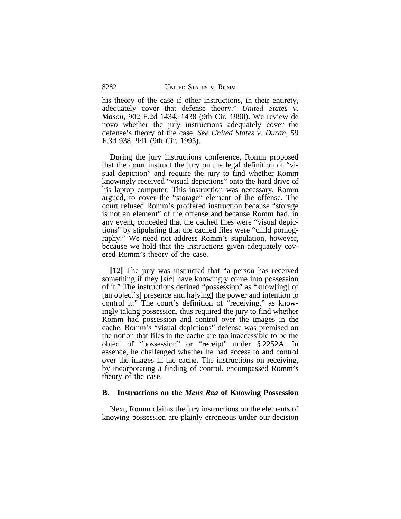his theory of the case if other instructions, in their entirety, adequately cover that defense theory." *United States v. Mason*, 902 F.2d 1434, 1438 (9th Cir. 1990). We review de novo whether the jury instructions adequately cover the defense's theory of the case. *See United States v. Duran*, 59 F.3d 938, 941 (9th Cir. 1995).

During the jury instructions conference, Romm proposed that the court instruct the jury on the legal definition of "visual depiction" and require the jury to find whether Romm knowingly received "visual depictions" onto the hard drive of his laptop computer. This instruction was necessary, Romm argued, to cover the "storage" element of the offense. The court refused Romm's proffered instruction because "storage is not an element" of the offense and because Romm had, in any event, conceded that the cached files were "visual depictions" by stipulating that the cached files were "child pornography." We need not address Romm's stipulation, however, because we hold that the instructions given adequately covered Romm's theory of the case.

**[12]** The jury was instructed that "a person has received something if they [*sic*] have knowingly come into possession of it." The instructions defined "possession" as "know[ing] of [an object's] presence and ha[ving] the power and intention to control it." The court's definition of "receiving," as knowingly taking possession, thus required the jury to find whether Romm had possession and control over the images in the cache. Romm's "visual depictions" defense was premised on the notion that files in the cache are too inaccessible to be the object of "possession" or "receipt" under § 2252A. In essence, he challenged whether he had access to and control over the images in the cache. The instructions on receiving, by incorporating a finding of control, encompassed Romm's theory of the case.

#### **B. Instructions on the** *Mens Rea* **of Knowing Possession**

Next, Romm claims the jury instructions on the elements of knowing possession are plainly erroneous under our decision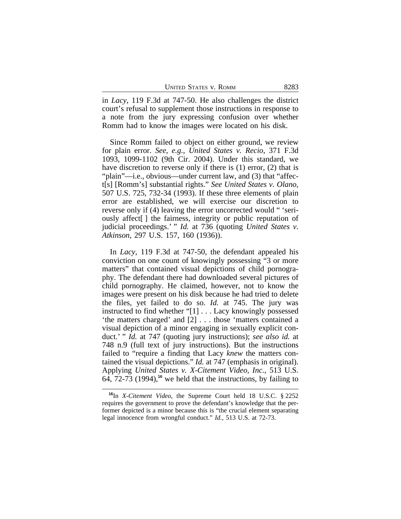| <b>UNITED STATES V. ROMM</b><br>8283 |
|--------------------------------------|
|--------------------------------------|

in *Lacy*, 119 F.3d at 747-50. He also challenges the district court's refusal to supplement those instructions in response to a note from the jury expressing confusion over whether Romm had to know the images were located on his disk.

Since Romm failed to object on either ground, we review for plain error. *See, e.g.*, *United States v. Recio*, 371 F.3d 1093, 1099-1102 (9th Cir. 2004). Under this standard, we have discretion to reverse only if there is (1) error, (2) that is "plain"—i.e., obvious—under current law, and (3) that "affect[s] [Romm's] substantial rights." *See United States v. Olano*, 507 U.S. 725, 732-34 (1993). If these three elements of plain error are established, we will exercise our discretion to reverse only if (4) leaving the error uncorrected would " 'seriously affect[ ] the fairness, integrity or public reputation of judicial proceedings.' " *Id.* at 736 (quoting *United States v. Atkinson*, 297 U.S. 157, 160 (1936)).

In *Lacy*, 119 F.3d at 747-50, the defendant appealed his conviction on one count of knowingly possessing "3 or more matters" that contained visual depictions of child pornography. The defendant there had downloaded several pictures of child pornography. He claimed, however, not to know the images were present on his disk because he had tried to delete the files, yet failed to do so. *Id.* at 745. The jury was instructed to find whether "[1] . . . Lacy knowingly possessed 'the matters charged' and [2] . . . those 'matters contained a visual depiction of a minor engaging in sexually explicit conduct.' " *Id.* at 747 (quoting jury instructions); *see also id.* at 748 n.9 (full text of jury instructions). But the instructions failed to "require a finding that Lacy *knew* the matters contained the visual depictions." *Id.* at 747 (emphasis in original). Applying *United States v. X-Citement Video, Inc.*, 513 U.S. 64, 72-73 (1994),**<sup>16</sup>** we held that the instructions, by failing to

**<sup>16</sup>**In *X-Citement Video*, the Supreme Court held 18 U.S.C. § 2252 requires the government to prove the defendant's knowledge that the performer depicted is a minor because this is "the crucial element separating legal innocence from wrongful conduct." *Id.*, 513 U.S. at 72-73.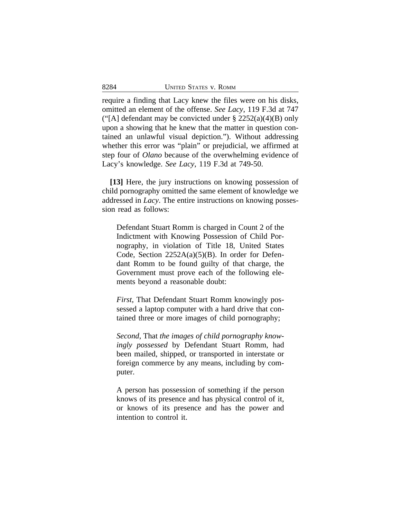require a finding that Lacy knew the files were on his disks, omitted an element of the offense. *See Lacy*, 119 F.3d at 747 ("[A] defendant may be convicted under  $\S 2252(a)(4)(B)$  only upon a showing that he knew that the matter in question contained an unlawful visual depiction."). Without addressing whether this error was "plain" or prejudicial, we affirmed at step four of *Olano* because of the overwhelming evidence of Lacy's knowledge. *See Lacy*, 119 F.3d at 749-50.

**[13]** Here, the jury instructions on knowing possession of child pornography omitted the same element of knowledge we addressed in *Lacy*. The entire instructions on knowing possession read as follows:

Defendant Stuart Romm is charged in Count 2 of the Indictment with Knowing Possession of Child Pornography, in violation of Title 18, United States Code, Section  $2252A(a)(5)(B)$ . In order for Defendant Romm to be found guilty of that charge, the Government must prove each of the following elements beyond a reasonable doubt:

*First*, That Defendant Stuart Romm knowingly possessed a laptop computer with a hard drive that contained three or more images of child pornography;

*Second*, That *the images of child pornography knowingly possessed* by Defendant Stuart Romm, had been mailed, shipped, or transported in interstate or foreign commerce by any means, including by computer.

A person has possession of something if the person knows of its presence and has physical control of it, or knows of its presence and has the power and intention to control it.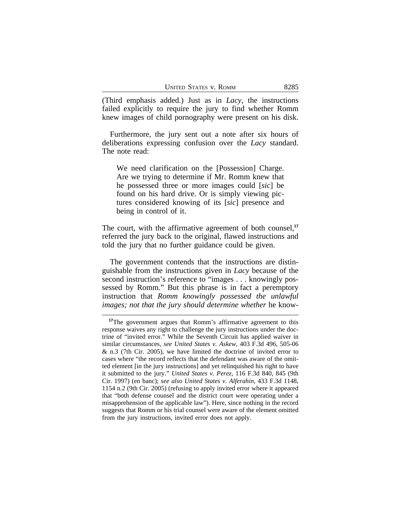(Third emphasis added.) Just as in *Lacy*, the instructions failed explicitly to require the jury to find whether Romm knew images of child pornography were present on his disk.

Furthermore, the jury sent out a note after six hours of deliberations expressing confusion over the *Lacy* standard. The note read:

We need clarification on the [Possession] Charge. Are we trying to determine if Mr. Romm knew that he possessed three or more images could [*sic*] be found on his hard drive. Or is simply viewing pictures considered knowing of its [*sic*] presence and being in control of it.

The court, with the affirmative agreement of both counsel,<sup>17</sup> referred the jury back to the original, flawed instructions and told the jury that no further guidance could be given.

The government contends that the instructions are distinguishable from the instructions given in *Lacy* because of the second instruction's reference to "images . . . knowingly possessed by Romm." But this phrase is in fact a peremptory instruction that *Romm knowingly possessed the unlawful images; not that the jury should determine whether* he know-

**<sup>17</sup>**The government argues that Romm's affirmative agreement to this response waives any right to challenge the jury instructions under the doctrine of "invited error." While the Seventh Circuit has applied waiver in similar circumstances, *see United States v. Askew*, 403 F.3d 496, 505-06 & n.3 (7th Cir. 2005), we have limited the doctrine of invited error to cases where "the record reflects that the defendant was aware of the omitted element [in the jury instructions] and yet relinquished his right to have it submitted to the jury." *United States v. Perez*, 116 F.3d 840, 845 (9th Cir. 1997) (en banc); *see also United States v. Alferahin*, 433 F.3d 1148, 1154 n.2 (9th Cir. 2005) (refusing to apply invited error where it appeared that "both defense counsel and the district court were operating under a misapprehension of the applicable law"). Here, since nothing in the record suggests that Romm or his trial counsel were aware of the element omitted from the jury instructions, invited error does not apply.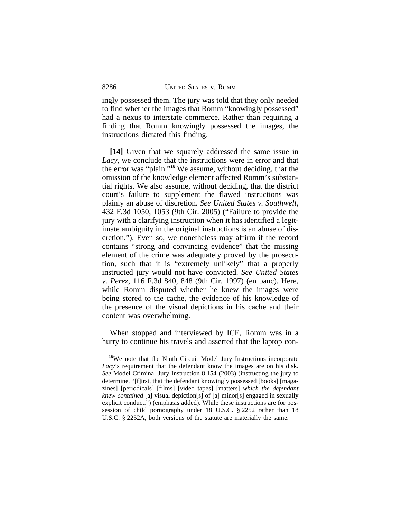ingly possessed them. The jury was told that they only needed to find whether the images that Romm "knowingly possessed" had a nexus to interstate commerce. Rather than requiring a finding that Romm knowingly possessed the images, the instructions dictated this finding.

**[14]** Given that we squarely addressed the same issue in *Lacy*, we conclude that the instructions were in error and that the error was "plain." **<sup>18</sup>** We assume, without deciding, that the omission of the knowledge element affected Romm's substantial rights. We also assume, without deciding, that the district court's failure to supplement the flawed instructions was plainly an abuse of discretion. *See United States v. Southwell*, 432 F.3d 1050, 1053 (9th Cir. 2005) ("Failure to provide the jury with a clarifying instruction when it has identified a legitimate ambiguity in the original instructions is an abuse of discretion."). Even so, we nonetheless may affirm if the record contains "strong and convincing evidence" that the missing element of the crime was adequately proved by the prosecution, such that it is "extremely unlikely" that a properly instructed jury would not have convicted. *See United States v. Perez*, 116 F.3d 840, 848 (9th Cir. 1997) (en banc). Here, while Romm disputed whether he knew the images were being stored to the cache, the evidence of his knowledge of the presence of the visual depictions in his cache and their content was overwhelming.

When stopped and interviewed by ICE, Romm was in a hurry to continue his travels and asserted that the laptop con-

**<sup>18</sup>**We note that the Ninth Circuit Model Jury Instructions incorporate *Lacy*'s requirement that the defendant know the images are on his disk. *See* Model Criminal Jury Instruction 8.154 (2003) (instructing the jury to determine, "[f]irst, that the defendant knowingly possessed [books] [magazines] [periodicals] [films] [video tapes] [matters] *which the defendant knew contained* [a] visual depiction[s] of [a] minor[s] engaged in sexually explicit conduct.") (emphasis added). While these instructions are for possession of child pornography under 18 U.S.C. § 2252 rather than 18 U.S.C. § 2252A, both versions of the statute are materially the same.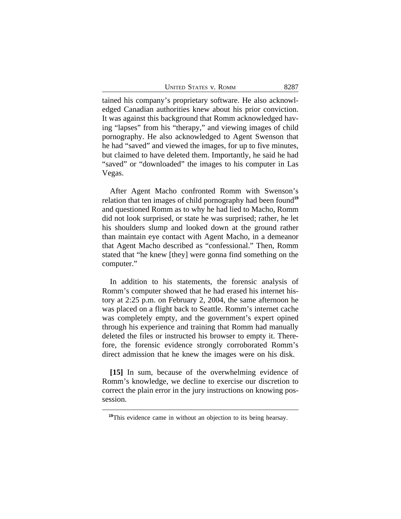UNITED STATES V. ROMM 8287

tained his company's proprietary software. He also acknowledged Canadian authorities knew about his prior conviction. It was against this background that Romm acknowledged having "lapses" from his "therapy," and viewing images of child pornography. He also acknowledged to Agent Swenson that he had "saved" and viewed the images, for up to five minutes, but claimed to have deleted them. Importantly, he said he had "saved" or "downloaded" the images to his computer in Las Vegas.

After Agent Macho confronted Romm with Swenson's relation that ten images of child pornography had been found**<sup>19</sup>** and questioned Romm as to why he had lied to Macho, Romm did not look surprised, or state he was surprised; rather, he let his shoulders slump and looked down at the ground rather than maintain eye contact with Agent Macho, in a demeanor that Agent Macho described as "confessional." Then, Romm stated that "he knew [they] were gonna find something on the computer."

In addition to his statements, the forensic analysis of Romm's computer showed that he had erased his internet history at 2:25 p.m. on February 2, 2004, the same afternoon he was placed on a flight back to Seattle. Romm's internet cache was completely empty, and the government's expert opined through his experience and training that Romm had manually deleted the files or instructed his browser to empty it. Therefore, the forensic evidence strongly corroborated Romm's direct admission that he knew the images were on his disk.

**[15]** In sum, because of the overwhelming evidence of Romm's knowledge, we decline to exercise our discretion to correct the plain error in the jury instructions on knowing possession.

**<sup>19</sup>**This evidence came in without an objection to its being hearsay.